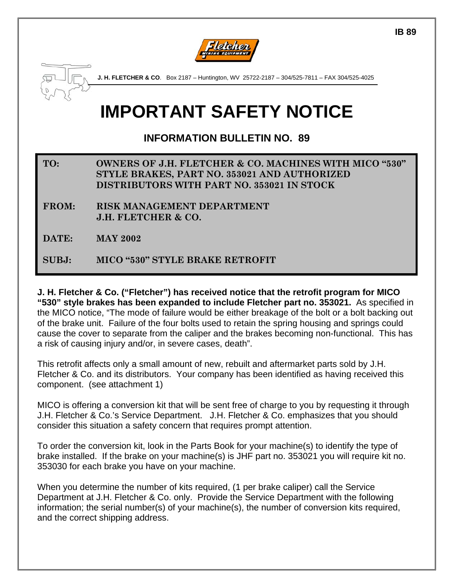



**J. H. FLETCHER & CO**. Box 2187 – Huntington, WV 25722-2187 – 304/525-7811 – FAX 304/525-4025

# **IMPORTANT SAFETY NOTICE**

**INFORMATION BULLETIN NO. 89** 

- **TO: OWNERS OF J.H. FLETCHER & CO. MACHINES WITH MICO "530" STYLE BRAKES, PART NO. 353021 AND AUTHORIZED DISTRIBUTORS WITH PART NO. 353021 IN STOCK**
- **FROM: RISK MANAGEMENT DEPARTMENT J.H. FLETCHER & CO.**
- **DATE: MAY 2002**

**SUBJ: MICO "530" STYLE BRAKE RETROFIT**

**J. H. Fletcher & Co. ("Fletcher") has received notice that the retrofit program for MICO "530" style brakes has been expanded to include Fletcher part no. 353021.** As specified in the MICO notice, "The mode of failure would be either breakage of the bolt or a bolt backing out of the brake unit. Failure of the four bolts used to retain the spring housing and springs could cause the cover to separate from the caliper and the brakes becoming non-functional. This has a risk of causing injury and/or, in severe cases, death".

This retrofit affects only a small amount of new, rebuilt and aftermarket parts sold by J.H. Fletcher & Co. and its distributors. Your company has been identified as having received this component. (see attachment 1)

MICO is offering a conversion kit that will be sent free of charge to you by requesting it through J.H. Fletcher & Co.'s Service Department. J.H. Fletcher & Co. emphasizes that you should consider this situation a safety concern that requires prompt attention.

To order the conversion kit, look in the Parts Book for your machine(s) to identify the type of brake installed. If the brake on your machine(s) is JHF part no. 353021 you will require kit no. 353030 for each brake you have on your machine.

When you determine the number of kits required, (1 per brake caliper) call the Service Department at J.H. Fletcher & Co. only. Provide the Service Department with the following information; the serial number(s) of your machine(s), the number of conversion kits required, and the correct shipping address.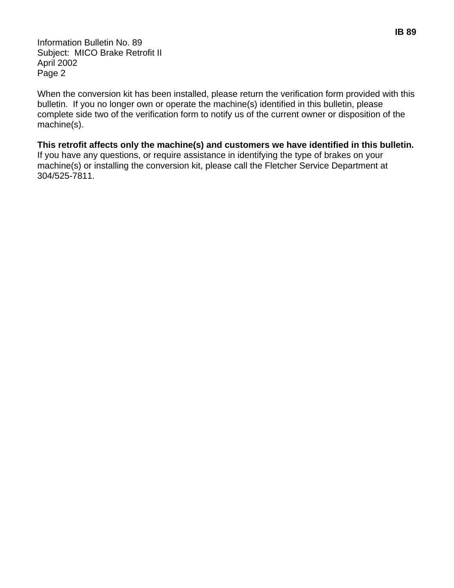Information Bulletin No. 89 Subject: MICO Brake Retrofit II April 2002 Page 2

When the conversion kit has been installed, please return the verification form provided with this bulletin. If you no longer own or operate the machine(s) identified in this bulletin, please complete side two of the verification form to notify us of the current owner or disposition of the machine(s).

**This retrofit affects only the machine(s) and customers we have identified in this bulletin.** If you have any questions, or require assistance in identifying the type of brakes on your machine(s) or installing the conversion kit, please call the Fletcher Service Department at 304/525-7811.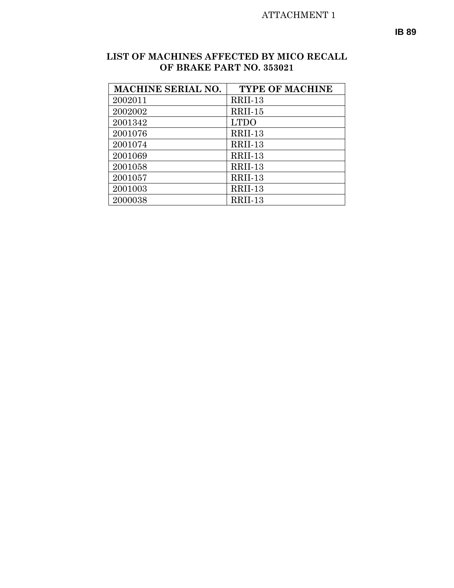### ATTACHMENT 1

#### **LIST OF MACHINES AFFECTED BY MICO RECALL OF BRAKE PART NO. 353021**

| <b>MACHINE SERIAL NO.</b> | <b>TYPE OF MACHINE</b> |
|---------------------------|------------------------|
| 2002011                   | RRII-13                |
| 2002002                   | RRII-15                |
| 2001342                   | <b>LTDO</b>            |
| 2001076                   | RRII-13                |
| 2001074                   | RRII-13                |
| 2001069                   | RRII-13                |
| 2001058                   | RRII-13                |
| 2001057                   | RRII-13                |
| 2001003                   | RRII-13                |
| 2000038                   | RRII-13                |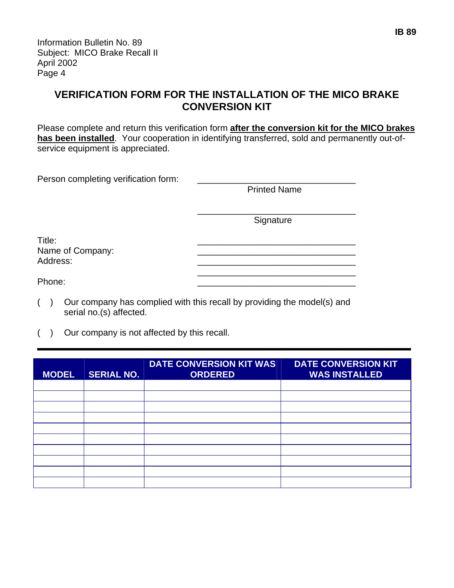Information Bulletin No. 89 Subject: MICO Brake Recall II April 2002 Page 4

## **VERIFICATION FORM FOR THE INSTALLATION OF THE MICO BRAKE CONVERSION KIT**

Please complete and return this verification form **after the conversion kit for the MICO brakes has been installed**. Your cooperation in identifying transferred, sold and permanently out-ofservice equipment is appreciated.

| Person completing verification form:                                                                                 |                     |
|----------------------------------------------------------------------------------------------------------------------|---------------------|
|                                                                                                                      | <b>Printed Name</b> |
|                                                                                                                      |                     |
|                                                                                                                      | Signature           |
|                                                                                                                      |                     |
| Title:                                                                                                               |                     |
| Name of Company:<br>Address:                                                                                         |                     |
|                                                                                                                      |                     |
| Phone:                                                                                                               |                     |
| $\left( \begin{array}{c} \end{array} \right)$ Our company has complied with this resolution initial the medal(e) and |                     |

- ( ) Our company has complied with this recall by providing the model(s) and serial no.(s) affected.
- ( ) Our company is not affected by this recall.

| <b>MODEL</b> | <b>SERIAL NO.</b> | <b>DATE CONVERSION KIT WAS</b><br><b>ORDERED</b> | <b>DATE CONVERSION KIT</b><br><b>WAS INSTALLED</b> |
|--------------|-------------------|--------------------------------------------------|----------------------------------------------------|
|              |                   |                                                  |                                                    |
|              |                   |                                                  |                                                    |
|              |                   |                                                  |                                                    |
|              |                   |                                                  |                                                    |
|              |                   |                                                  |                                                    |
|              |                   |                                                  |                                                    |
|              |                   |                                                  |                                                    |
|              |                   |                                                  |                                                    |
|              |                   |                                                  |                                                    |
|              |                   |                                                  |                                                    |